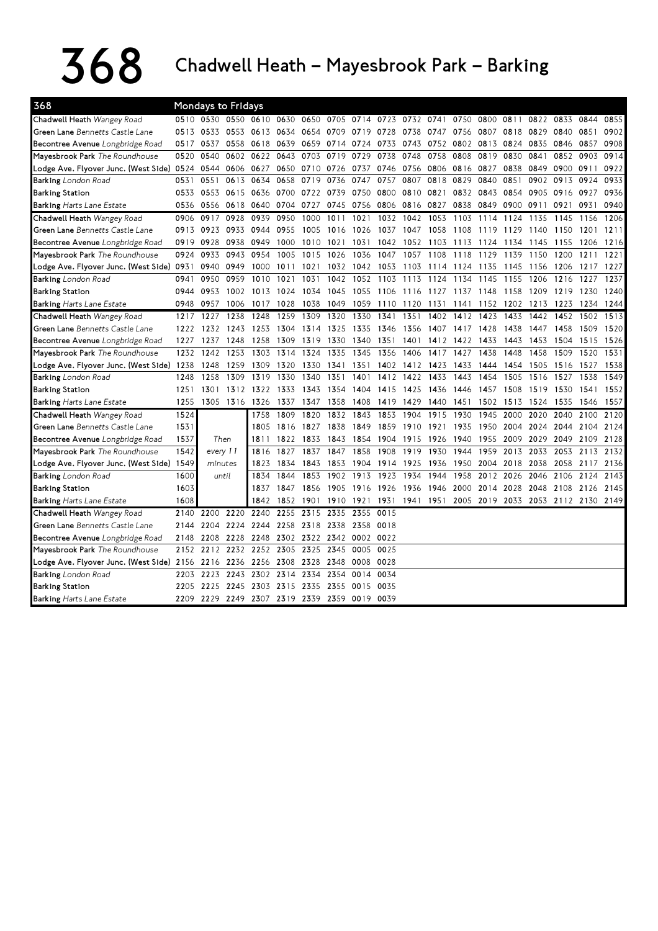## $368$  Chadwell Heath – Mayesbrook Park – Barking

| 368                                       |      | Mondays to Fridays |           |                                    |           |      |      |                     |      |           |                |      |           |      |           |                                    |           |      |
|-------------------------------------------|------|--------------------|-----------|------------------------------------|-----------|------|------|---------------------|------|-----------|----------------|------|-----------|------|-----------|------------------------------------|-----------|------|
| Chadwell Heath Wangey Road                |      |                    |           | 0510 0530 0550 0610 0630 0650 0705 |           |      |      | 0714 0723 0732 0741 |      |           |                | 0750 | 0800 0811 |      | 0822 0833 |                                    | 0844      | 0855 |
| <b>Green Lane</b> Bennetts Castle Lane    | 0513 | 0533               | 0553      | 0613                               | 0634      | 0654 | 0709 | 0719                | 0728 | 0738      | 0747           | 0756 | 0807      | 0818 | 0829      | 0840                               | 0851      | 0902 |
| Becontree Avenue Longbridge Road          | 0517 | 0537               | 0558      | 0618                               | 0639      | 0659 | 0714 | 0724                | 0733 | 0743      | 0752           | 0802 | 0813      | 0824 | 0835      | 0846                               | 0857      | 0908 |
| Mayesbrook Park The Roundhouse            | 0520 | 0540               | 0602      | 0622                               | 0643      | 0703 | 0719 | 0729                | 0738 | 0748      | 0758           | 0808 | 0819      | 0830 | 0841      | 0852                               | 0903      | 0914 |
| Lodge Ave. Flyover Junc. (West Side) 0524 |      | 0544               |           | 0606 0627                          | 0650      | 0710 | 0726 | 0737                | 0746 | 0756      | 0806           | 0816 | 0827      | 0838 | 0849      | 0900                               | 0911      | 0922 |
| Barking London Road                       | 0531 | 0551               | 0613      | 0634                               | 0658      | 0719 | 0736 | 0747                | 0757 | 0807      | 0818           | 0829 | 0840      | 0851 | 0902      | 0913                               | 0924      | 0933 |
| <b>Barking Station</b>                    | 0533 | 0553               | 0615      | 0636                               | 0700      | 0722 | 0739 | 0750                | 0800 | 0810      | 0821           | 0832 | 0843      | 0854 | 0905      | 0916                               | 0927      | 0936 |
| <b>Barking Harts Lane Estate</b>          | 0536 | 0556               | 0618 0640 |                                    | 0704      | 0727 | 0745 | 0756                | 0806 | 0816 0827 |                | 0838 | 0849      | 0900 | 0911      | 0921                               | 0931      | 0940 |
| Chadwell Heath Wangey Road                | 0906 | 0917               | 0928      | 0939                               | 0950      | 1000 | 1011 | 1021                | 1032 | 1042      | 1053           | 1103 | 1114      | 1124 | 1135      | 1145                               | 1156      | 1206 |
| Green Lane Bennetts Castle Lane           | 0913 | 0923               | 0933      | 0944                               | 0955      | 1005 | 1016 | 1026                | 1037 | 1047      | 1058           | 1108 | 1119      | 1129 | 1140      | 1150                               | 1201      | 1211 |
| Becontree Avenue Longbridge Road          | 0919 | 0928               | 0938      | 0949                               | 1000      | 1010 | 1021 | 1031                | 1042 | 1052      | 1103           | 1113 | 1124      | 1134 | 1145      | 1155                               | 1206      | 1216 |
| Mayesbrook Park The Roundhouse            | 0924 | 0933               | 0943      | 0954                               | 1005      | 1015 | 1026 | 1036                | 1047 | 1057      | 1108           | 1118 | 1129      | 1139 | 1150      | 1200                               | 1211      | 1221 |
| Lodge Ave. Flyover Junc. (West Side) 0931 |      | 0940               | 0949      | 1000                               | 1011      | 1021 | 1032 | 1042                | 1053 | 1103      | 1114           | 1124 | 1135      | 1145 | 1156      | 1206                               | 1217      | 1227 |
| <b>Barking</b> London Road                | 0941 | 0950               | 0959      | 1010                               | 1021      | 1031 | 1042 | 1052                | 1103 | 1113      | 1124           | 1134 | 1145      | 1155 | 1206      | 1216                               | 1227      | 1237 |
| <b>Barking Station</b>                    | 0944 | 0953               | 1002      | 1013                               | 1024      | 1034 | 1045 | 1055 1106           |      |           | 1116 1127 1137 |      | 1148      | 1158 | 1209      | 1219                               | 1230      | 1240 |
| Barking Harts Lane Estate                 | 0948 | 0957               | 1006      | 1017                               | 1028      | 1038 | 1049 | 1059                | 1110 | 1120      | 1131           | 1141 | 1152      | 1202 | 1213      | 1223                               | 1234 1244 |      |
| Chadwell Heath Wangey Road                | 1217 | 1227               | 1238      | 1248                               | 1259      | 1309 | 1320 | 1330                | 1341 | 1351      | 1402           | 1412 | 1423      | 1433 | 1442      | 1452                               | 1502      | 1513 |
| <b>Green Lane</b> Bennetts Castle Lane    | 1222 | 1232               | 1243      | 1253                               | 1304      | 1314 | 1325 | 1335                | 1346 | 1356      | 1407           | 1417 | 1428      | 1438 | 1447      | 1458                               | 1509      | 1520 |
| Becontree Avenue Longbridge Road          | 1227 | 1237               | 1248      | 1258                               | 1309      | 1319 | 1330 | 1340                | 1351 | 1401      | 1412           | 1422 | 1433      | 1443 | 1453      | 1504                               | 1515      | 1526 |
| Mayesbrook Park The Roundhouse            | 1232 | 1242               | 1253      | 1303                               | 1314      | 1324 | 1335 | 1345                | 1356 | 1406      | 1417           | 1427 | 1438      | 1448 | 1458      | 1509                               | 1520      | 1531 |
| Lodge Ave. Flyover Junc. (West Side) 1238 |      | 1248               | 1259      | 1309                               | 1320      | 1330 | 1341 | 1351                | 1402 | 1412      | 1423           | 1433 | 1444      | 1454 | 1505      | 1516                               | 1527      | 1538 |
| <b>Barking</b> London Road                | 1248 | 1258               | 1309      | 1319                               | 1330      | 1340 | 1351 | 1401                | 1412 | 1422      | 1433           | 1443 | 1454      | 1505 | 1516      | 1527                               | 1538      | 1549 |
| <b>Barking Station</b>                    | 1251 | 1301               | 1312      | 1322                               | 1333      | 1343 | 1354 | 1404                | 1415 | 1425      | 1436           | 1446 | 1457      | 1508 | 1519      | 1530                               | 1541      | 1552 |
| <b>Barking Harts Lane Estate</b>          | 1255 | 1305               | 1316      | 1326                               | 1337      | 1347 | 1358 | 1408                | 1419 | 1429      | 1440           | 1451 | 1502      | 1513 | 1524      | 1535                               | 1546      | 1557 |
| Chadwell Heath Wangey Road                | 1524 |                    |           | 1758                               | 1809      | 1820 | 1832 | 1843                | 1853 | 1904      | 1915           | 1930 | 1945      | 2000 | 2020      | 2040                               | 2100      | 2120 |
| Green Lane Bennetts Castle Lane           | 1531 |                    |           | 1805                               | 1816      | 1827 | 1838 | 1849                | 1859 | 1910      | 1921           | 1935 | 1950      | 2004 | 2024      | 2044                               | 2104      | 2124 |
| Becontree Avenue Longbridge Road          | 1537 |                    | Then      | 1811                               | 1822      | 1833 | 1843 | 1854                | 1904 | 1915      | 1926           | 1940 | 1955      | 2009 | 2029      | 2049                               | 2109      | 2128 |
| Mayesbrook Park The Roundhouse            | 1542 | every 11           |           | 1816                               | 1827      | 1837 | 1847 | 1858                | 1908 | 1919      | 1930           | 1944 | 1959      | 2013 | 2033      | 2053                               | 2113      | 2132 |
| Lodge Ave. Flyover Junc. (West Side) 1549 |      | minutes            |           | 1823                               | 1834      | 1843 | 1853 | 1904                | 1914 | 1925      | 1936           | 1950 | 2004      | 2018 | 2038      | 2058                               | 2117      | 2136 |
| <b>Barking</b> London Road                | 1600 |                    | until     | 1834                               | 1844      | 1853 | 1902 | 1913                | 1923 | 1934      | 1944           | 1958 | 2012      | 2026 | 2046      | 2106                               | 2124      | 2143 |
| <b>Barking Station</b>                    | 1603 |                    |           | 1837                               | 1847      | 1856 | 1905 | 1916 1926           |      | 1936      | 1946           | 2000 | 2014      | 2028 | 2048      | 2108                               | 2126      | 2145 |
| <b>Barking Harts Lane Estate</b>          | 1608 |                    |           | 1842                               | 1852      | 1901 | 1910 | 1921                | 1931 |           | 1941 1951      |      |           |      |           | 2005 2019 2033 2053 2112 2130 2149 |           |      |
| Chadwell Heath Wangey Road                | 2140 | 2200               | 2220      | 2240                               | 2255      | 2315 | 2335 | 2355                | 0015 |           |                |      |           |      |           |                                    |           |      |
| Green Lane Bennetts Castle Lane           | 2144 | 2204               | 2224      | 2244                               | 2258      | 2318 | 2338 | 2358                | 0018 |           |                |      |           |      |           |                                    |           |      |
| Becontree Avenue Longbridge Road          | 2148 | 2208               | 2228      | 2248                               | 2302 2322 |      | 2342 | 0002 0022           |      |           |                |      |           |      |           |                                    |           |      |
| Mayesbrook Park The Roundhouse            | 2152 | 2212               | 2232      | 2252                               | 2305      | 2325 | 2345 | 0005                | 0025 |           |                |      |           |      |           |                                    |           |      |
| Lodge Ave. Flyover Junc. (West Side) 2156 |      | 2216               | 2236      | 2256                               | 2308      | 2328 | 2348 | 0008                | 0028 |           |                |      |           |      |           |                                    |           |      |
| <b>Barking</b> London Road                | 2203 | 2223               | 2243      | 2302                               | 2314      | 2334 | 2354 | 0014 0034           |      |           |                |      |           |      |           |                                    |           |      |
| <b>Barking Station</b>                    | 2205 | 2225               | 2245      | 2303                               | 2315      | 2335 | 2355 | 0015                | 0035 |           |                |      |           |      |           |                                    |           |      |
| Barking Harts Lane Estate                 | 2209 | 2229               |           | 2249 2307 2319 2339                |           |      | 2359 | 0019 0039           |      |           |                |      |           |      |           |                                    |           |      |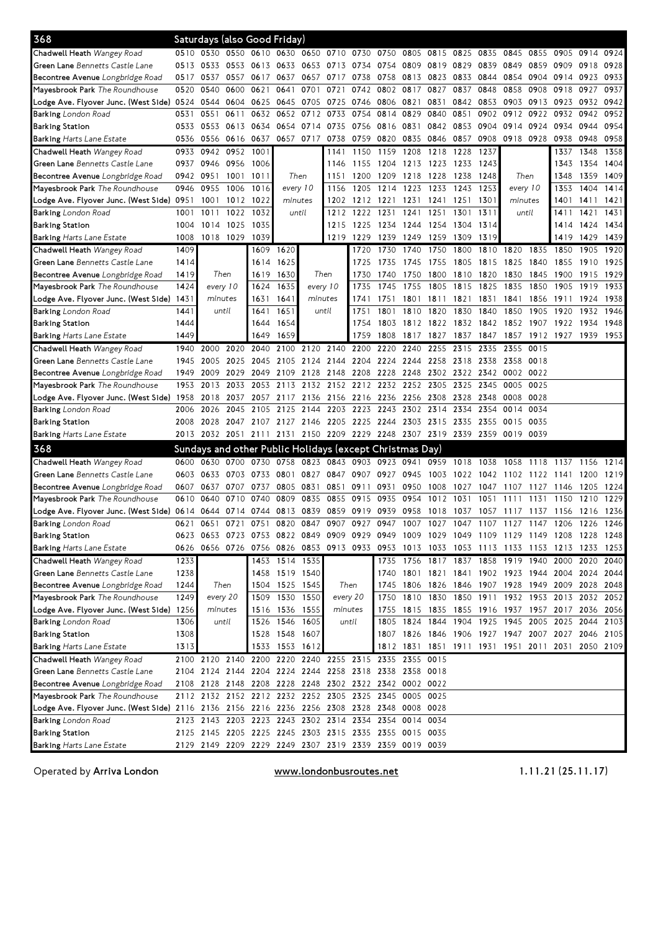| 368                                                                                                                            |      | Saturdays (also Good Friday)                                |                |                               |                |                |           |                          |                     |                |           |                     |                     |                                                                                           |      |                          |                |      |
|--------------------------------------------------------------------------------------------------------------------------------|------|-------------------------------------------------------------|----------------|-------------------------------|----------------|----------------|-----------|--------------------------|---------------------|----------------|-----------|---------------------|---------------------|-------------------------------------------------------------------------------------------|------|--------------------------|----------------|------|
| Chadwell Heath Wangey Road                                                                                                     |      | 0510 0530 0550 0610 0630 0650 0710 0730 0750 0805 0815 0825 |                |                               |                |                |           |                          |                     |                |           |                     |                     | 0835 0845 0855                                                                            |      |                          | 0905 0914 0924 |      |
| Green Lane Bennetts Castle Lane                                                                                                | 0513 | 0533                                                        | 0553           | 0613 0633 0653 0713           |                |                |           | 0734 0754                |                     | 0809           | 0819      | 0829                | 0839                | 0849                                                                                      | 0859 | 0909                     | 0918           | 0928 |
| Becontree Avenue Longbridge Road                                                                                               | 0517 | 0537                                                        | 0557           | 0617                          |                | 0637 0657      | 0717      | 0738                     | 0758                |                |           |                     | 0813 0823 0833 0844 | 0854                                                                                      | 0904 | 0914                     | 0923           | 0933 |
| Mayesbrook Park The Roundhouse                                                                                                 | 0520 | 0540                                                        | 0600           | 0621                          | 0641           | 0701           | 0721      |                          | 0742 0802 0817 0827 |                |           | 0837                | 0848                | 0858                                                                                      | 0908 | 0918                     | 0927           | 0937 |
| Lodge Ave. Flyover Junc. (West Side) 0524                                                                                      |      | 0544                                                        | 0604           | 0625                          | 0645           | 0705           | 0725      | 0746 0806 0821           |                     |                | 0831      | 0842                | 0853                | 0903                                                                                      | 0913 | 0923                     | 0932           | 0942 |
| Barking London Road                                                                                                            | 0531 | 0551                                                        | 0611           | 0632                          | 0652           | 0712           | 0733      | 0754                     | 0814                | 0829           | 0840      | 0851                | 0902                | 0912                                                                                      | 0922 | 0932                     | 0942           | 0952 |
| <b>Barking Station</b>                                                                                                         | 0533 | 0553 0613                                                   |                | 0634                          |                | 0654 0714 0735 |           | 0756 0816 0831 0842 0853 |                     |                |           |                     |                     | 0904 0914 0924                                                                            |      | 0934 0944                |                | 0954 |
| <b>Barking Harts Lane Estate</b>                                                                                               | 0536 |                                                             |                | 0556 0616 0637 0657 0717 0738 |                |                |           | 0759 0820                |                     | 0835           |           | 0846 0857           | 0908                | 0918 0928                                                                                 |      | 0938                     | 0948           | 0958 |
| Chadwell Heath Wangey Road                                                                                                     | 0933 | 0942                                                        | 0952 1001      |                               |                |                | 1141      | 1150                     | 1159                | 1208           | 1218      | 1228                | 1237                |                                                                                           |      | 1337                     | 1348           | 1358 |
| Green Lane Bennetts Castle Lane                                                                                                | 0937 | 0946                                                        | 0956           | 1006                          |                |                | 1146      | 1155                     | 1204                | 1213 1223      |           | 1233                | 1243                |                                                                                           |      | 1343                     | 1354           | 1404 |
| Becontree Avenue Longbridge Road                                                                                               |      | 0942 0951                                                   | 1001 1011      |                               |                | Then           | 1151      | 1200                     | 1209                | 1218 1228      |           | 1238                | 1248                | Then                                                                                      |      | 1348                     | 1359           | 1409 |
| Mayesbrook Park The Roundhouse                                                                                                 | 0946 | 0955                                                        | 1006           | 1016                          | every 10       |                | 1156      |                          | 1205 1214           | 1223           | 1233      | 1243                | 1253                | every 10                                                                                  |      | 1353                     | 1404           | 1414 |
| Lodge Ave. Flyover Junc. (West Side) 0951                                                                                      |      | 1001                                                        | 1012           | 1022                          | minutes        |                | 1202      | 1212 1221                |                     | 1231           | 1241      | 1251                | 1301                | minutes                                                                                   |      | 1401                     | 1411           | 1421 |
| Barking London Road                                                                                                            | 1001 | 1011                                                        | 1022           | 1032                          |                | until          | 1212      | 1222                     | 1231                | 1241           | 1251      | 1301                | 1311                | until                                                                                     |      | 1411                     | 1421           | 1431 |
| <b>Barking Station</b>                                                                                                         | 1004 | 1014                                                        | 1025           | 1035                          |                |                | 1215      | 1225 1234                |                     | 1244 1254      |           | 1304                | 1314                |                                                                                           |      | 1414                     | 1424           | 1434 |
| Barking Harts Lane Estate                                                                                                      | 1008 |                                                             | 1018 1029 1039 |                               |                |                |           | 1219 1229 1239           |                     | 1249 1259 1309 |           |                     | 1319                |                                                                                           |      | 1419                     | 1429           | 1439 |
| Chadwell Heath Wangey Road                                                                                                     | 1409 |                                                             |                | 1609                          | 1620           |                |           | 1720                     | 1730                | 1740           | 1750      | 1800                | 1810                | 1820                                                                                      | 1835 | 1850                     | 1905           | 1920 |
| Green Lane Bennetts Castle Lane                                                                                                | 1414 |                                                             |                | 1614                          | 1625           |                |           | 1725                     | 1735                | 1745           | 1755      | 1805                | 1815                | 1825                                                                                      | 1840 | 1855                     | 1910           | 1925 |
| Becontree Avenue Longbridge Road                                                                                               | 1419 | Then                                                        |                | 1619                          | 1630           | Then           |           | 1730                     | 1740                | 1750           | 1800      | 1810                | 1820                | 1830                                                                                      | 1845 | 1900                     | 1915           | 1929 |
| Mayesbrook Park The Roundhouse                                                                                                 | 1424 | every 10                                                    |                | 1624                          | 1635           |                | every 10  | 1735                     | 1745                | 1755           | 1805      | 1815                | 1825                | 1835                                                                                      | 1850 | 1905                     | 1919           | 1933 |
| Lodge Ave. Flyover Junc. (West Side) 1431                                                                                      |      | minutes                                                     |                | 1631                          | 1641           | minutes        |           | 1741                     | 1751                | 1801           |           | 1811 1821           | 1831                | 1841                                                                                      | 1856 | 1911                     | 1924           | 1938 |
| <b>Barking</b> London Road                                                                                                     | 1441 |                                                             | until          | 1641                          | 1651           |                | until     | 1751                     | 1801                | 1810           | 1820      | 1830                | 1840                | 1850                                                                                      | 1905 | 1920                     | 1932           | 1946 |
| <b>Barking Station</b>                                                                                                         | 1444 |                                                             |                | 1644                          | 1654           |                |           | 1754                     | 1803                |                | 1812 1822 |                     | 1832 1842 1852      |                                                                                           | 1907 | 1922                     | 1934           | 1948 |
| Barking Harts Lane Estate                                                                                                      | 1449 |                                                             |                | 1649                          | 1659           |                |           | 1759                     | 1808                | 1817           | 1827      | 1837                | 1847                | 1857                                                                                      | 1912 | 1927                     | 1939           | 1953 |
| Chadwell Heath Wangey Road                                                                                                     | 1940 | 2000                                                        | 2020           | 2040                          | 2100           |                |           | 2120 2140 2200 2220 2240 |                     |                | 2255      | 2315                | 2335                | 2355                                                                                      | 0015 |                          |                |      |
| Green Lane Bennetts Castle Lane                                                                                                | 1945 | 2005                                                        | 2025           | 2045                          | 2105           | 2124 2144      |           | 2204 2224 2244 2258      |                     |                |           | 2318                | 2338                | 2358                                                                                      | 0018 |                          |                |      |
| Becontree Avenue Longbridge Road                                                                                               | 1949 | 2009                                                        | 2029           | 2049                          | 2109           | 2128           | 2148      | 2208                     | 2228                | 2248           | 2302      | 2322                | 2342                | 0002                                                                                      | 0022 |                          |                |      |
| Mayesbrook Park The Roundhouse                                                                                                 | 1953 | 2013                                                        | 2033           | 2053                          |                |                |           | 2113 2132 2152 2212 2232 |                     | 2252           | 2305      | 2325                | 2345                | 0005                                                                                      | 0025 |                          |                |      |
| Lodge Ave. Flyover Junc. (West Side) 1958                                                                                      |      | 2018                                                        | 2037           | 2057                          |                | 2117 2136      | 2156      | 2216 2236                |                     | 2256           | 2308 2328 |                     | 2348                | 0008                                                                                      | 0028 |                          |                |      |
| <b>Barking</b> London Road                                                                                                     | 2006 | 2026                                                        | 2045           | 2105                          | 2125           | 2144           | 2203      |                          | 2223 2243           | 2302 2314      |           | 2334                | 2354                | 0014                                                                                      | 0034 |                          |                |      |
| <b>Barking Station</b>                                                                                                         | 2008 | 2028                                                        | 2047 2107      |                               |                | 2127 2146 2205 |           | 2225 2244                |                     | 2303 2315 2335 |           |                     | 2355                | 0015 0035                                                                                 |      |                          |                |      |
| Barking Harts Lane Estate                                                                                                      |      |                                                             |                |                               |                |                |           |                          |                     |                |           |                     |                     | 2013 2032 2051 2111 2131 2150 2209 2229 2248 2307 2319 2339 2359 0019 0039                |      |                          |                |      |
| 368                                                                                                                            |      | Sundays and other Public Holidays (except Christmas Day)    |                |                               |                |                |           |                          |                     |                |           |                     |                     |                                                                                           |      |                          |                |      |
| Chadwell Heath Wangey Road                                                                                                     | 0600 | 0630                                                        | 0700           | 0730                          | 0758           | 0823           | 0843      | 0903                     | 0923                | 0941           | 0959      | 1018                | 1038                | 1058                                                                                      | 1118 | 1137                     | 1156           | 1214 |
| Green Lane Bennetts Castle Lane                                                                                                | 0603 | 0633                                                        | 0703           | 0733                          | 0801           |                | 0827 0847 | 0907 0927                |                     | 0945           | 1003      | 1022                | 1042                | 1102                                                                                      | 1122 | 1141                     | 1200           | 1219 |
| Becontree Avenue Longbridge Road                                                                                               | 0607 | 0637                                                        | 0707           | 0737                          | 0805           | 0831           | 0851      | 0911                     | 0931                | 0950           | 1008      | 1027                | 1047                | 1107                                                                                      | 1127 | 1146                     | 1205           | 1224 |
| Mayesbrook Park The Roundhouse                                                                                                 | 0610 | 0640                                                        | 0710           | 0740                          | 0809           | 0835           | 0855      | 0915 0935                |                     | 0954           | 1012      | 1031                | 1051                | 1111                                                                                      | 1131 | 1150                     | 1210           | 1229 |
| Lodge Ave. Flyover Junc. (West Side) 0614 0644 0714 0744 0813 0839 0859 0919 0939 0958 1018 1037 1057 1117 1137 1156 1216 1236 |      |                                                             |                |                               |                |                |           |                          |                     |                |           |                     |                     |                                                                                           |      |                          |                |      |
| Barking London Road                                                                                                            | 0621 | 0651                                                        | 0721           | 0751                          |                |                |           |                          |                     |                |           |                     |                     | 0820 0847 0907 0927 0947 1007 1027 1047 1107 1127 1147 1206 1226 1246                     |      |                          |                |      |
| <b>Barking Station</b>                                                                                                         |      |                                                             |                |                               |                |                |           |                          |                     |                |           |                     |                     | 0623 0653 0723 0753 0822 0849 0909 0929 0949 1009 1029 1049 1109 1129 1149 1208 1228 1248 |      |                          |                |      |
| Barking Harts Lane Estate                                                                                                      | 0626 |                                                             |                |                               |                |                |           |                          |                     |                |           |                     |                     | 0656 0726 0756 0826 0853 0913 0933 0953 1013 1033 1053 1113 1133 1153 1213 1233 1253      |      |                          |                |      |
| Chadwell Heath Wangey Road                                                                                                     | 1233 |                                                             |                |                               | 1453 1514 1535 |                |           |                          |                     |                |           |                     |                     | 1735 1756 1817 1837 1858 1919 1940 2000 2020 2040                                         |      |                          |                |      |
| Green Lane Bennetts Castle Lane                                                                                                | 1238 |                                                             |                |                               | 1458 1519 1540 |                |           |                          | 1740                |                |           |                     |                     | 1801 1821 1841 1902 1923 1944 2004 2024 2044                                              |      |                          |                |      |
| Becontree Avenue Longbridge Road                                                                                               | 1244 | Then                                                        |                | 1504                          |                | 1525 1545      |           | Then                     | 1745                |                |           |                     |                     | 1806 1826 1846 1907 1928 1949 2009 2028 2048                                              |      |                          |                |      |
| Mayesbrook Park The Roundhouse                                                                                                 | 1249 | every 20                                                    |                | 1509                          |                | 1530 1550      |           | every 20                 | 1750                |                |           | 1810 1830 1850 1911 |                     |                                                                                           |      | 1932 1953 2013 2032 2052 |                |      |
| Lodge Ave. Flyover Junc. (West Side) 1256                                                                                      |      | minutes                                                     |                |                               | 1516 1536 1555 |                | minutes   |                          | 1755                |                |           |                     |                     | 1815 1835 1855 1916 1937 1957 2017 2036 2056                                              |      |                          |                |      |
| Barking London Road                                                                                                            | 1306 |                                                             | until          | 1526                          | 1546 1605      |                |           | until                    | 1805                |                |           |                     |                     | 1824 1844 1904 1925 1945 2005 2025 2044 2103                                              |      |                          |                |      |
| <b>Barking Station</b>                                                                                                         | 1308 |                                                             |                | 1528                          | 1548 1607      |                |           |                          |                     |                |           |                     |                     | 1807 1826 1846 1906 1927 1947 2007 2027 2046 2105                                         |      |                          |                |      |
| Barking Harts Lane Estate                                                                                                      | 1313 |                                                             |                | 1533                          | 1553 1612      |                |           |                          |                     |                |           |                     |                     | 1812 1831 1851 1911 1931 1951 2011 2031                                                   |      |                          | 2050 2109      |      |
| Chadwell Heath Wangey Road                                                                                                     |      | 2100 2120 2140 2200 2220 2240 2255 2315 2335 2355 0015      |                |                               |                |                |           |                          |                     |                |           |                     |                     |                                                                                           |      |                          |                |      |
| Green Lane Bennetts Castle Lane                                                                                                |      | 2104 2124 2144 2204 2224 2244 2258 2318 2338 2358 0018      |                |                               |                |                |           |                          |                     |                |           |                     |                     |                                                                                           |      |                          |                |      |
| Becontree Avenue Longbridge Road                                                                                               |      | 2108 2128 2148 2208 2228 2248 2302 2322 2342 0002 0022      |                |                               |                |                |           |                          |                     |                |           |                     |                     |                                                                                           |      |                          |                |      |
| Mayesbrook Park The Roundhouse                                                                                                 |      | 2112 2132 2152 2212 2232 2252 2305 2325 2345 0005 0025      |                |                               |                |                |           |                          |                     |                |           |                     |                     |                                                                                           |      |                          |                |      |
| Lodge Ave. Flyover Junc. (West Side) 2116 2136 2156 2216 2236 2256 2308 2328 2348 0008 0028                                    |      |                                                             |                |                               |                |                |           |                          |                     |                |           |                     |                     |                                                                                           |      |                          |                |      |
| Barking London Road                                                                                                            |      | 2123 2143 2203 2223 2243 2302 2314 2334 2354 0014 0034      |                |                               |                |                |           |                          |                     |                |           |                     |                     |                                                                                           |      |                          |                |      |
| <b>Barking Station</b>                                                                                                         |      | 2125 2145 2205 2225 2245 2303 2315 2335 2355 0015 0035      |                |                               |                |                |           |                          |                     |                |           |                     |                     |                                                                                           |      |                          |                |      |
| Barking Harts Lane Estate                                                                                                      |      | 2129 2149 2209 2229 2249 2307 2319 2339 2359 0019 0039      |                |                               |                |                |           |                          |                     |                |           |                     |                     |                                                                                           |      |                          |                |      |

Operated by Arriva London **WWW.londonbusroutes.net** 1.11.21 (25.11.17)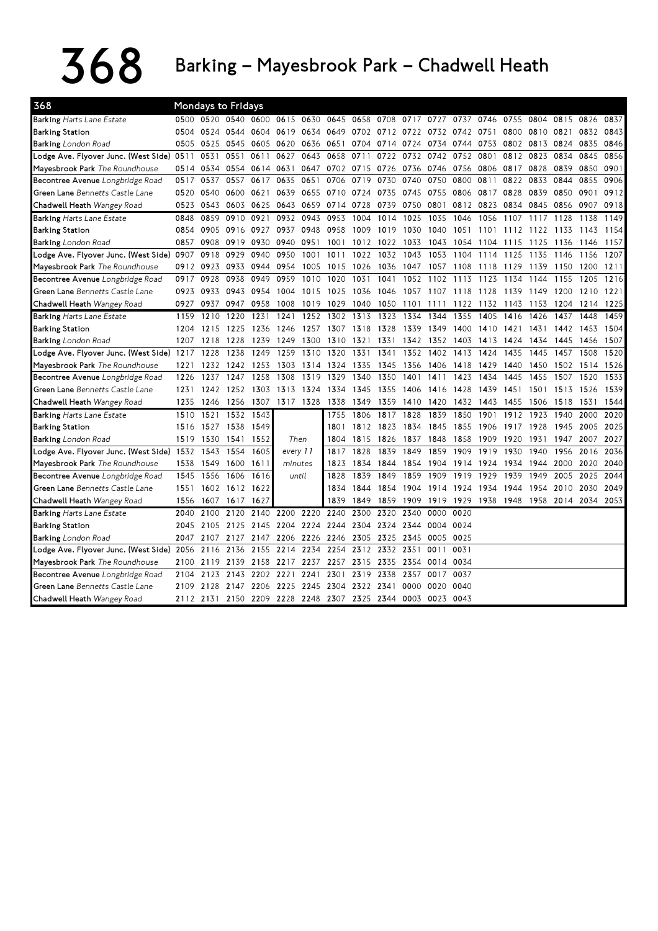## $368$  Barking – Mayesbrook Park – Chadwell Heath

| 368                                       |      |           | <b>Mondays to Fridays</b>     |        |      |           |                                              |           |           |           |                |      |           |           |      |           |      |      |
|-------------------------------------------|------|-----------|-------------------------------|--------|------|-----------|----------------------------------------------|-----------|-----------|-----------|----------------|------|-----------|-----------|------|-----------|------|------|
| Barking Harts Lane Estate                 |      |           | 0500 0520 0540 0600 0615 0630 |        |      |           | 0645                                         |           | 0658 0708 | 0717 0727 |                | 0737 | 0746 0755 |           | 0804 | 0815      | 0826 | 0837 |
| <b>Barking Station</b>                    | 0504 | 0524 0544 |                               | 0604   |      | 0619 0634 | 0649                                         | 0702 0712 |           | 0722      | 0732 0742      |      | 0751      | 0800      | 0810 | 0821      | 0832 | 0843 |
| <b>Barking</b> London Road                | 0505 | 0525 0545 |                               | 0605   |      | 0620 0636 | 0651                                         |           | 0704 0714 |           | 0724 0734      | 0744 | 0753      | 0802 0813 |      | 0824 0835 |      | 0846 |
| Lodge Ave. Flyover Junc. (West Side) 0511 |      | 0531      | 0551                          | 0611   | 0627 | 0643      | 0658                                         | 0711      | 0722      |           | 0732 0742      | 0752 | 0801      | 0812      | 0823 | 0834      | 0845 | 0856 |
| Mayesbrook Park The Roundhouse            | 0514 | 0534      | 0554                          | 0614   | 0631 | 0647      | 0702                                         | 0715 0726 |           |           | 0736 0746      | 0756 | 0806      | 0817      | 0828 | 0839      | 0850 | 0901 |
| Becontree Avenue Longbridge Road          | 0517 | 0537      | 0557                          | 0617   | 0635 | 0651      | 0706                                         | 0719      | 0730      | 0740      | 0750           | 0800 | 0811      | 0822      | 0833 | 0844      | 0855 | 0906 |
| Green Lane Bennetts Castle Lane           | 0520 | 0540      | 0600                          | 0621   | 0639 | 0655      | 0710                                         | 0724      | 0735      | 0745      | 0755           | 0806 | 0817      | 0828      | 0839 | 0850      | 0901 | 0912 |
| Chadwell Heath Wangey Road                | 0523 | 0543      | 0603                          | 0625   | 0643 | 0659      | 0714                                         | 0728      | 0739      | 0750      | 0801           | 0812 | 0823      | 0834      | 0845 | 0856      | 0907 | 0918 |
| <b>Barking Harts Lane Estate</b>          | 0848 | 0859      | 0910                          | 0921   | 0932 | 0943      | 0953                                         | 1004      | 1014      | 1025      | 1035           | 1046 | 1056      | 1107      | 1117 | 1128      | 1138 | 1149 |
| <b>Barking Station</b>                    | 0854 | 0905      | 0916                          | 0927   | 0937 | 0948      | 0958                                         | 1009      | 1019      | 1030      | 1040           | 1051 | 1101      | 1112      | 1122 | 1133      | 1143 | 1154 |
| <b>Barking</b> London Road                | 0857 | 0908      | 0919                          | 0930   | 0940 | 0951      | 1001                                         |           | 1012 1022 | 1033      | 1043           | 1054 | 1104      | 1115      | 1125 | 1136      | 1146 | 1157 |
| Lodge Ave. Flyover Junc. (West Side)      | 0907 | 0918      | 0929                          | 0940   | 0950 | 1001      | 1011                                         | 1022      | 1032      | 1043      | 1053           | 1104 | 1114      | 1125      | 1135 | 1146      | 1156 | 1207 |
| Mayesbrook Park The Roundhouse            | 0912 | 0923      | 0933                          | 0944   | 0954 | 1005      | 1015                                         | 1026      | 1036      | 1047      | 1057           | 1108 | 1118      | 1129      | 1139 | 1150      | 1200 | 1211 |
| Becontree Avenue Longbridge Road          | 0917 | 0928      | 0938                          | 0949   | 0959 | 1010      | 1020                                         | 1031      | 1041      | 1052      | 1102           | 1113 | 1123      | 1134      | 1144 | 1155      | 1205 | 1216 |
| Green Lane Bennetts Castle Lane           | 0923 | 0933      | 0943                          | 0954   | 1004 | 1015      | 1025                                         | 1036      | 1046      |           | 1057 1107      | 1118 | 1128      | 1139      | 1149 | 1200      | 1210 | 1221 |
| Chadwell Heath Wangey Road                | 0927 | 0937      | 0947                          | 0958   | 1008 | 1019      | 1029                                         | 1040      | 1050      | 1101      | 1111           | 1122 | 1132      | 1143      | 1153 | 1204      | 1214 | 1225 |
| <b>Barking Harts Lane Estate</b>          | 1159 | 1210      | 1220                          | 1231   | 1241 | 1252      | 1302                                         | 1313      | 1323      | 1334      | 1344           | 1355 | 1405      | 1416      | 1426 | 1437      | 1448 | 1459 |
| <b>Barking Station</b>                    | 1204 | 1215      | 1225                          | 1236   | 1246 | 1257      | 1307                                         | 1318      | 1328      | 1339      | 1349           | 1400 | 1410      | 1421      | 1431 | 1442      | 1453 | 1504 |
| <b>Barking</b> London Road                | 1207 | 1218      | 1228                          | 1239   | 1249 | 1300      | 1310                                         | 1321      | 1331      | 1342      | 1352           | 1403 | 1413      | 1424      | 1434 | 1445      | 1456 | 1507 |
| Lodge Ave. Flyover Junc. (West Side)      | 1217 | 1228      | 1238                          | 1249   | 1259 | 1310      | 1320                                         | 1331      | 1341      | 1352      | 1402           | 1413 | 1424      | 1435      | 1445 | 1457      | 1508 | 1520 |
| Mayesbrook Park The Roundhouse            | 1221 | 1232      | 1242                          | 1253   | 1303 | 1314      | 1324                                         | 1335      | 1345      | 1356      | 1406           | 1418 | 1429      | 1440      | 1450 | 1502      | 1514 | 1526 |
| Becontree Avenue Longbridge Road          | 1226 | 1237      | 1247                          | 1258   | 1308 | 1319      | 1329                                         | 1340      | 1350      | 1401      | 1411           | 1423 | 1434      | 1445      | 1455 | 1507      | 1520 | 1533 |
| Green Lane Bennetts Castle Lane           | 1231 | 1242      | 1252                          | 1303   | 1313 | 1324      | 1334                                         | 1345      | 1355      | 1406      | 1416           | 1428 | 1439      | 1451      | 1501 | 1513      | 1526 | 1539 |
| Chadwell Heath Wangey Road                | 1235 | 1246      | 1256                          | 1307   |      | 1317 1328 | 1338                                         | 1349      | 1359      | 1410      | 1420           | 1432 | 1443      | 1455      | 1506 | 1518      | 1531 | 1544 |
| <b>Barking Harts Lane Estate</b>          | 1510 | 1521      | 1532                          | 1543   |      |           | 1755                                         | 1806      | 1817      | 1828      | 1839           | 1850 | 1901      | 1912      | 1923 | 1940      | 2000 | 2020 |
| <b>Barking Station</b>                    | 1516 | 1527      | 1538                          | 1549   |      |           | 1801                                         | 1812      | 1823      | 1834      | 1845           | 1855 | 1906      | 1917      | 1928 | 1945      | 2005 | 2025 |
| <b>Barking</b> London Road                | 1519 | 1530      | 1541                          | 1552   |      | Then      | 1804                                         | 1815      | 1826      | 1837      | 1848           | 1858 | 1909      | 1920      | 1931 | 1947      | 2007 | 2027 |
| Lodge Ave. Flyover Junc. (West Side) 1532 |      | 1543      | 1554                          | 1605   |      | every 11  | 1817                                         | 1828      | 1839      | 1849      | 1859           | 1909 | 1919      | 1930      | 1940 | 1956      | 2016 | 2036 |
| Mayesbrook Park The Roundhouse            | 1538 | 1549      | 1600                          | 1611   |      | minutes   | 1823                                         | 1834      | 1844      | 1854      | 1904           | 1914 | 1924      | 1934      | 1944 | 2000      | 2020 | 2040 |
| Becontree Avenue Longbridge Road          | 1545 | 1556      | 1606                          | 1616   |      | until     | 1828                                         | 1839      | 1849      | 1859      | 1909           | 1919 | 1929      | 1939      | 1949 | 2005      | 2025 | 2044 |
| Green Lane Bennetts Castle Lane           | 1551 | 1602      | 1612                          | - 1622 |      |           | 1834                                         | 1844      | 1854      | 1904      | 1914           | 1924 | 1934      | 1944      | 1954 | 2010      | 2030 | 2049 |
| Chadwell Heath Wangey Road                | 1556 | 1607      | 1617                          | 1627   |      |           | 1839                                         | 1849      | 1859      | 1909      | 1919           | 1929 | 1938      | 1948      | 1958 | 2014      | 2034 | 2053 |
| <b>Barking Harts Lane Estate</b>          | 2040 | 2100      | 2120                          | 2140   | 2200 | 2220      | 2240                                         | 2300      | 2320      | 2340      | 0000           | 0020 |           |           |      |           |      |      |
| <b>Barking Station</b>                    | 2045 | 2105      | 2125                          | 2145   |      | 2204 2224 | 2244                                         |           | 2304 2324 | 2344      | 0004           | 0024 |           |           |      |           |      |      |
| <b>Barking</b> London Road                | 2047 | 2107      | 2127                          | 2147   |      | 2206 2226 | 2246                                         |           | 2305 2325 | 2345      | 0005 0025      |      |           |           |      |           |      |      |
| Lodge Ave. Flyover Junc. (West Side)      | 2056 | 2116      | 2136                          | 2155   | 2214 | 2234      | 2254                                         |           | 2312 2332 | 2351      | 0011           | 0031 |           |           |      |           |      |      |
| Mayesbrook Park The Roundhouse            | 2100 | 2119      | 2139                          | 2158   | 2217 | 2237      | 2257                                         |           | 2315 2335 |           | 2354 0014 0034 |      |           |           |      |           |      |      |
| Becontree Avenue Longbridge Road          | 2104 | 2123      | 2143                          | 2202   | 2221 | 2241      | 2301                                         | 2319      | 2338      | 2357      | 0017           | 0037 |           |           |      |           |      |      |
| Green Lane Bennetts Castle Lane           | 2109 | 2128      | 2147 2206                     |        |      | 2225 2245 | 2304                                         | 2322 2341 |           | 0000      | 0020           | 0040 |           |           |      |           |      |      |
| Chadwell Heath Wangey Road                |      |           |                               |        |      |           | 2112 2131 2150 2209 2228 2248 2307 2325 2344 |           |           |           | 0003 0023 0043 |      |           |           |      |           |      |      |